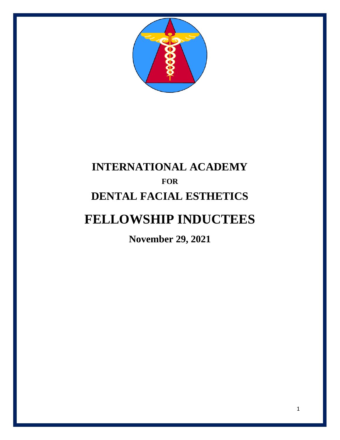

## **INTERNATIONAL ACADEMY FOR DENTAL FACIAL ESTHETICS**

## **FELLOWSHIP INDUCTEES**

**November 29, 2021**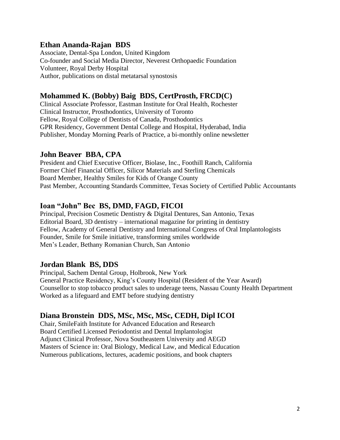#### **Ethan Ananda-Rajan BDS**

Associate, Dental-Spa London, United Kingdom Co-founder and Social Media Director, Neverest Orthopaedic Foundation Volunteer, Royal Derby Hospital Author, publications on distal metatarsal synostosis

#### **Mohammed K. (Bobby) Baig BDS, CertProsth, FRCD(C)**

Clinical Associate Professor, Eastman Institute for Oral Health, Rochester Clinical Instructor, Prosthodontics, University of Toronto Fellow, Royal College of Dentists of Canada, Prosthodontics GPR Residency, Government Dental College and Hospital, Hyderabad, India Publisher, Monday Morning Pearls of Practice, a bi-monthly online newsletter

#### **John Beaver BBA, CPA**

President and Chief Executive Officer, Biolase, Inc., Foothill Ranch, California Former Chief Financial Officer, Silicor Materials and Sterling Chemicals Board Member, Healthy Smiles for Kids of Orange County Past Member, Accounting Standards Committee, Texas Society of Certified Public Accountants

#### **Ioan "John" Bec BS, DMD, FAGD, FICOI**

Principal, Precision Cosmetic Dentistry & Digital Dentures, San Antonio, Texas Editorial Board, 3D dentistry – international magazine for printing in dentistry Fellow, Academy of General Dentistry and International Congress of Oral Implantologists Founder, Smile for Smile initiative, transforming smiles worldwide Men's Leader, Bethany Romanian Church, San Antonio

#### **Jordan Blank BS, DDS**

Principal, Sachem Dental Group, Holbrook, New York General Practice Residency, King's County Hospital (Resident of the Year Award) Counsellor to stop tobacco product sales to underage teens, Nassau County Health Department Worked as a lifeguard and EMT before studying dentistry

#### **Diana Bronstein DDS, MSc, MSc, MSc, CEDH, Dipl ICOI**

Chair, SmileFaith Institute for Advanced Education and Research Board Certified Licensed Periodontist and Dental Implantologist Adjunct Clinical Professor, Nova Southeastern University and AEGD Masters of Science in: Oral Biology, Medical Law, and Medical Education Numerous publications, lectures, academic positions, and book chapters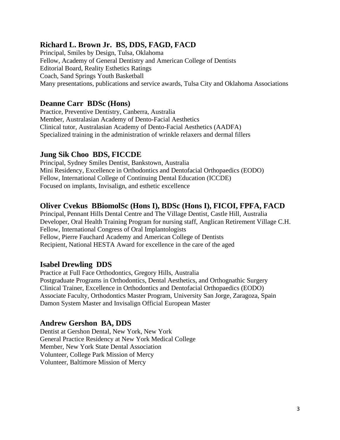#### **Richard L. Brown Jr. BS, DDS, FAGD, FACD**

Principal, Smiles by Design, Tulsa, Oklahoma Fellow, Academy of General Dentistry and American College of Dentists Editorial Board, Reality Esthetics Ratings Coach, Sand Springs Youth Basketball Many presentations, publications and service awards, Tulsa City and Oklahoma Associations

#### **Deanne Carr BDSc (Hons)**

Practice, Preventive Dentistry, Canberra, Australia Member, Australasian Academy of Dento-Facial Aesthetics Clinical tutor, Australasian Academy of Dento-Facial Aesthetics (AADFA) Specialized training in the administration of wrinkle relaxers and dermal fillers

#### **Jung Sik Choo BDS, FICCDE**

Principal, Sydney Smiles Dentist, Bankstown, Australia Mini Residency, Excellence in Orthodontics and Dentofacial Orthopaedics (EODO) Fellow, International College of Continuing Dental Education (ICCDE) Focused on implants, Invisalign, and esthetic excellence

#### **Oliver Cvekus BBiomolSc (Hons I), BDSc (Hons I), FICOI, FPFA, FACD**

Principal, Pennant Hills Dental Centre and The Village Dentist, Castle Hill, Australia Developer, Oral Health Training Program for nursing staff, Anglican Retirement Village C.H. Fellow, International Congress of Oral Implantologists Fellow, Pierre Fauchard Academy and American College of Dentists Recipient, National HESTA Award for excellence in the care of the aged

#### **Isabel Drewling DDS**

Practice at Full Face Orthodontics, Gregory Hills, Australia Postgraduate Programs in Orthodontics, Dental Aesthetics, and Orthognathic Surgery Clinical Trainer, Excellence in Orthodontics and Dentofacial Orthopaedics (EODO) Associate Faculty, Orthodontics Master Program, University San Jorge, Zaragoza, Spain Damon System Master and Invisalign Official European Master

#### **Andrew Gershon BA, DDS**

Dentist at Gershon Dental, New York, New York General Practice Residency at New York Medical College Member, New York State Dental Association Volunteer, College Park Mission of Mercy Volunteer, Baltimore Mission of Mercy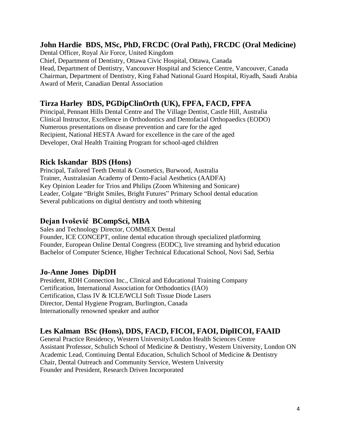#### **John Hardie BDS, MSc, PhD, FRCDC (Oral Path), FRCDC (Oral Medicine)**

Dental Officer, Royal Air Force, United Kingdom Chief, Department of Dentistry, Ottawa Civic Hospital, Ottawa, Canada Head, Department of Dentistry, Vancouver Hospital and Science Centre, Vancouver, Canada Chairman, Department of Dentistry, King Fahad National Guard Hospital, Riyadh, Saudi Arabia Award of Merit, Canadian Dental Association

#### **Tirza Harley BDS, PGDipClinOrth (UK), FPFA, FACD, FPFA**

Principal, Pennant Hills Dental Centre and The Village Dentist, Castle Hill, Australia Clinical Instructor, Excellence in Orthodontics and Dentofacial Orthopaedics (EODO) Numerous presentations on disease prevention and care for the aged Recipient, National HESTA Award for excellence in the care of the aged Developer, Oral Health Training Program for school-aged children

#### **Rick Iskandar BDS (Hons)**

Principal, Tailored Teeth Dental & Cosmetics, Burwood, Australia Trainer, Australasian Academy of Dento-Facial Aesthetics (AADFA) Key Opinion Leader for Trios and Philips (Zoom Whitening and Sonicare) Leader, Colgate "Bright Smiles, Bright Futures" Primary School dental education Several publications on digital dentistry and tooth whitening

#### **Dejan Ivošević BCompSci, MBA**

Sales and Technology Director, COMMEX Dental Founder, ICE CONCEPT, online dental education through specialized platforming Founder, European Online Dental Congress (EODC), live streaming and hybrid education Bachelor of Computer Science, Higher Technical Educational School, Novi Sad, Serbia

#### **Jo-Anne Jones DipDH**

President, RDH Connection Inc., Clinical and Educational Training Company Certification, International Association for Orthodontics (IAO) Certification, Class IV & ICLE/WCLI Soft Tissue Diode Lasers Director, Dental Hygiene Program, Burlington, Canada Internationally renowned speaker and author

#### **Les Kalman BSc (Hons), DDS, FACD, FICOI, FAOI, DiplICOI, FAAID**

General Practice Residency, Western University/London Health Sciences Centre Assistant Professor, Schulich School of Medicine & Dentistry, Western University, London ON Academic Lead, Continuing Dental Education, Schulich School of Medicine & Dentistry Chair, Dental Outreach and Community Service, Western University Founder and President, Research Driven Incorporated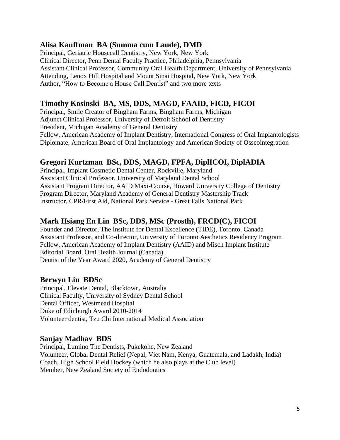#### **Alisa Kauffman BA (Summa cum Laude), DMD**

Principal, Geriatric Housecall Dentistry, New York, New York Clinical Director, Penn Dental Faculty Practice, Philadelphia, Pennsylvania Assistant Clinical Professor, Community Oral Health Department, University of Pennsylvania Attending, Lenox Hill Hospital and Mount Sinai Hospital, New York, New York Author, "How to Become a House Call Dentist" and two more texts

#### **Timothy Kosinski BA, MS, DDS, MAGD, FAAID, FICD, FICOI**

Principal, Smile Creator of Bingham Farms, Bingham Farms, Michigan Adjunct Clinical Professor, University of Detroit School of Dentistry President, Michigan Academy of General Dentistry Fellow, American Academy of Implant Dentistry, International Congress of Oral Implantologists Diplomate, American Board of Oral Implantology and American Society of Osseointegration

#### **Gregori Kurtzman BSc, DDS, MAGD, FPFA, DiplICOI, DiplADIA**

Principal, Implant Cosmetic Dental Center, Rockville, Maryland Assistant Clinical Professor, University of Maryland Dental School Assistant Program Director, AAID Maxi-Course, Howard University College of Dentistry Program Director, Maryland Academy of General Dentistry Mastership Track Instructor, CPR/First Aid, National Park Service - Great Falls National Park

#### **Mark Hsiang En Lin BSc, DDS, MSc (Prosth), FRCD(C), FICOI**

Founder and Director, The Institute for Dental Excellence (TIDE), Toronto, Canada Assistant Professor, and Co-director, University of Toronto Aesthetics Residency Program Fellow, American Academy of Implant Dentistry (AAID) and Misch Implant Institute Editorial Board, Oral Health Journal (Canada) Dentist of the Year Award 2020, Academy of General Dentistry

#### **Berwyn Liu BDSc**

Principal, Elevate Dental, Blacktown, Australia Clinical Faculty, University of Sydney Dental School Dental Officer, Westmead Hospital Duke of Edinburgh Award 2010-2014 Volunteer dentist, Tzu Chi International Medical Association

#### **Sanjay Madhav BDS**

Principal, Lumino The Dentists, Pukekohe, New Zealand Volunteer, Global Dental Relief (Nepal, Viet Nam, Kenya, Guatemala, and Ladakh, India) Coach, High School Field Hockey (which he also plays at the Club level) Member, New Zealand Society of Endodontics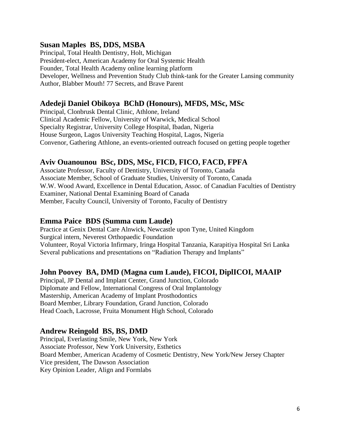#### **Susan Maples BS, DDS, MSBA**

Principal, Total Health Dentistry, Holt, Michigan President-elect, American Academy for Oral Systemic Health Founder, Total Health Academy online learning platform Developer, Wellness and Prevention Study Club think-tank for the Greater Lansing community Author, Blabber Mouth! 77 Secrets, and Brave Parent

#### **Adedeji Daniel Obikoya BChD (Honours), MFDS, MSc, MSc**

Principal, Clonbrusk Dental Clinic, Athlone, Ireland Clinical Academic Fellow, University of Warwick, Medical School Specialty Registrar, University College Hospital, Ibadan, Nigeria House Surgeon, Lagos University Teaching Hospital, Lagos, Nigeria Convenor, Gathering Athlone, an events-oriented outreach focused on getting people together

#### **Aviv Ouanounou BSc, DDS, MSc, FICD, FICO, FACD, FPFA**

Associate Professor, Faculty of Dentistry, University of Toronto, Canada Associate Member, School of Graduate Studies, University of Toronto, Canada W.W. Wood Award, Excellence in Dental Education, Assoc. of Canadian Faculties of Dentistry Examiner, National Dental Examining Board of Canada Member, Faculty Council, University of Toronto, Faculty of Dentistry

#### **Emma Paice BDS (Summa cum Laude)**

Practice at Genix Dental Care Alnwick, Newcastle upon Tyne, United Kingdom Surgical intern, Neverest Orthopaedic Foundation Volunteer, Royal Victoria Infirmary, Iringa Hospital Tanzania, Karapitiya Hospital Sri Lanka Several publications and presentations on "Radiation Therapy and Implants"

#### **John Poovey BA, DMD (Magna cum Laude), FICOI, DiplICOI, MAAIP**

Principal, JP Dental and Implant Center, Grand Junction, Colorado Diplomate and Fellow, International Congress of Oral Implantology Mastership, American Academy of Implant Prosthodontics Board Member, Library Foundation, Grand Junction, Colorado Head Coach, Lacrosse, Fruita Monument High School, Colorado

#### **Andrew Reingold BS, BS, DMD**

Principal, Everlasting Smile, New York, New York Associate Professor, New York University, Esthetics Board Member, American Academy of Cosmetic Dentistry, New York/New Jersey Chapter Vice president, The Dawson Association Key Opinion Leader, Align and Formlabs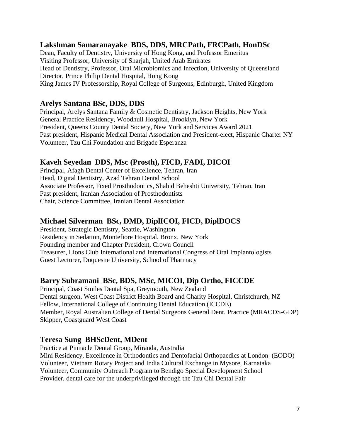#### **Lakshman Samaranayake BDS, DDS, MRCPath, FRCPath, HonDSc**

Dean, Faculty of Dentistry, University of Hong Kong, and Professor Emeritus Visiting Professor, University of Sharjah, United Arab Emirates Head of Dentistry, Professor, Oral Microbiomics and Infection, University of Queensland Director, Prince Philip Dental Hospital, Hong Kong King James IV Professorship, Royal College of Surgeons, Edinburgh, United Kingdom

#### **Arelys Santana BSc, DDS, DDS**

Principal, Arelys Santana Family & Cosmetic Dentistry, Jackson Heights, New York General Practice Residency, Woodhull Hospital, Brooklyn, New York President, Queens County Dental Society, New York and Services Award 2021 Past president, Hispanic Medical Dental Association and President-elect, Hispanic Charter NY Volunteer, Tzu Chi Foundation and Brigade Esperanza

#### **Kaveh Seyedan DDS, Msc (Prosth), FICD, FADI, DICOI**

Principal, Afagh Dental Center of Excellence, Tehran, Iran Head, Digital Dentistry, Azad Tehran Dental School Associate Professor, Fixed Prosthodontics, Shahid Beheshti University, Tehran, Iran Past president, Iranian Association of Prosthodontists Chair, Science Committee, Iranian Dental Association

#### **Michael Silverman BSc, DMD, DiplICOI, FICD, DiplDOCS**

President, Strategic Dentistry, Seattle, Washington Residency in Sedation, Montefiore Hospital, Bronx, New York Founding member and Chapter President, Crown Council Treasurer, Lions Club International and International Congress of Oral Implantologists Guest Lecturer, Duquesne University, School of Pharmacy

#### **Barry Subramani BSc, BDS, MSc, MICOI, Dip Ortho, FICCDE**

Principal, Coast Smiles Dental Spa, Greymouth, New Zealand Dental surgeon, West Coast District Health Board and Charity Hospital, Christchurch, NZ Fellow, International College of Continuing Dental Education (ICCDE) Member, Royal Australian College of Dental Surgeons General Dent. Practice (MRACDS-GDP) Skipper, Coastguard West Coast

#### **Teresa Sung BHScDent, MDent**

Practice at Pinnacle Dental Group, Miranda, Australia Mini Residency, Excellence in Orthodontics and Dentofacial Orthopaedics at London (EODO) Volunteer, Vietnam Rotary Project and India Cultural Exchange in Mysore, Karnataka Volunteer, Community Outreach Program to Bendigo Special Development School Provider, dental care for the underprivileged through the Tzu Chi Dental Fair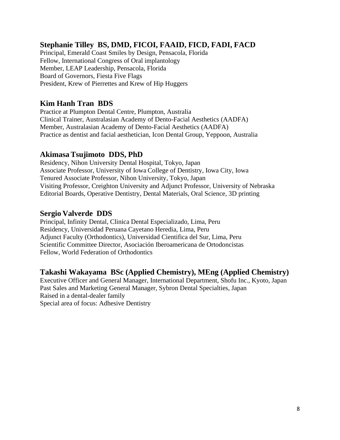#### **Stephanie Tilley BS, DMD, FICOI, FAAID, FICD, FADI, FACD**

Principal, Emerald Coast Smiles by Design, Pensacola, Florida Fellow, International Congress of Oral implantology Member, LEAP Leadership, Pensacola, Florida Board of Governors, Fiesta Five Flags President, Krew of Pierrettes and Krew of Hip Huggers

#### **Kim Hanh Tran BDS**

Practice at Plumpton Dental Centre, Plumpton, Australia Clinical Trainer, Australasian Academy of Dento-Facial Aesthetics (AADFA) Member, Australasian Academy of Dento-Facial Aesthetics (AADFA) Practice as dentist and facial aesthetician, Icon Dental Group, Yeppoon, Australia

#### **Akimasa Tsujimoto DDS, PhD**

Residency, Nihon University Dental Hospital, Tokyo, Japan Associate Professor, University of Iowa College of Dentistry, Iowa City, Iowa Tenured Associate Professor, Nihon University, Tokyo, Japan Visiting Professor, Creighton University and Adjunct Professor, University of Nebraska Editorial Boards, Operative Dentistry, Dental Materials, Oral Science, 3D printing

#### **Sergio Valverde DDS**

Principal, Infinity Dental, Clinica Dental Especializado, Lima, Peru Residency, Universidad Peruana Cayetano Heredia, Lima, Peru Adjunct Faculty (Orthodontics), Universidad Cientifica del Sur, Lima, Peru Scientific Committee Director, Asociación Iberoamericana de Ortodoncistas Fellow, World Federation of Orthodontics

#### **Takashi Wakayama BSc (Applied Chemistry), MEng (Applied Chemistry)**

Executive Officer and General Manager, International Department, Shofu Inc., Kyoto, Japan Past Sales and Marketing General Manager, Sybron Dental Specialties, Japan Raised in a dental-dealer family Special area of focus: Adhesive Dentistry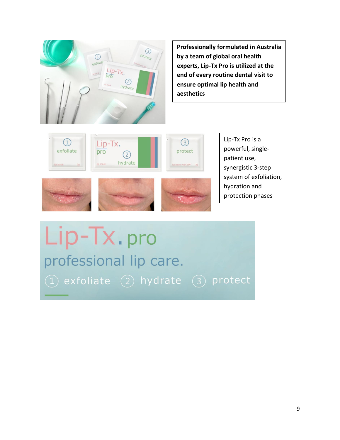

**Professionally formulated in Australia by a team of global oral health experts, Lip-Tx Pro is utilized at the end of every routine dental visit to ensure optimal lip health and aesthetics**



Lip-Tx Pro is a powerful, singlepatient use, synergistic 3-step system of exfoliation, hydration and protection phases

# Lip-Tx.pro professional lip care.  $(1)$  exfoliate  $(2)$  hydrate  $(3)$  protect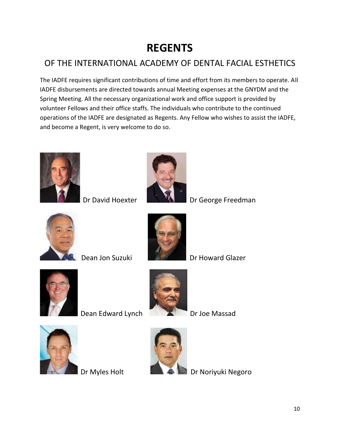## **REGENTS**

### OF THE INTERNATIONAL ACADEMY OF DENTAL FACIAL ESTHETICS

The IADFE requires significant contributions of time and effort from its members to operate. All IADFE disbursements are directed towards annual Meeting expenses at the GNYDM and the Spring Meeting. All the necessary organizational work and office support is provided by volunteer Fellows and their office staffs. The individuals who contribute to the continued operations of the IADFE are designated as Regents. Any Fellow who wishes to assist the IADFE, and become a Regent, is very welcome to do so.





Dr David Hoexter **DR VALL** Dr George Freedman





**Dean Jon Suzuki Dr Howard Glazer** 



Dean Edward Lynch Dr Joe Massad







Dr Myles Holt **Dr Noriguki Negoro**